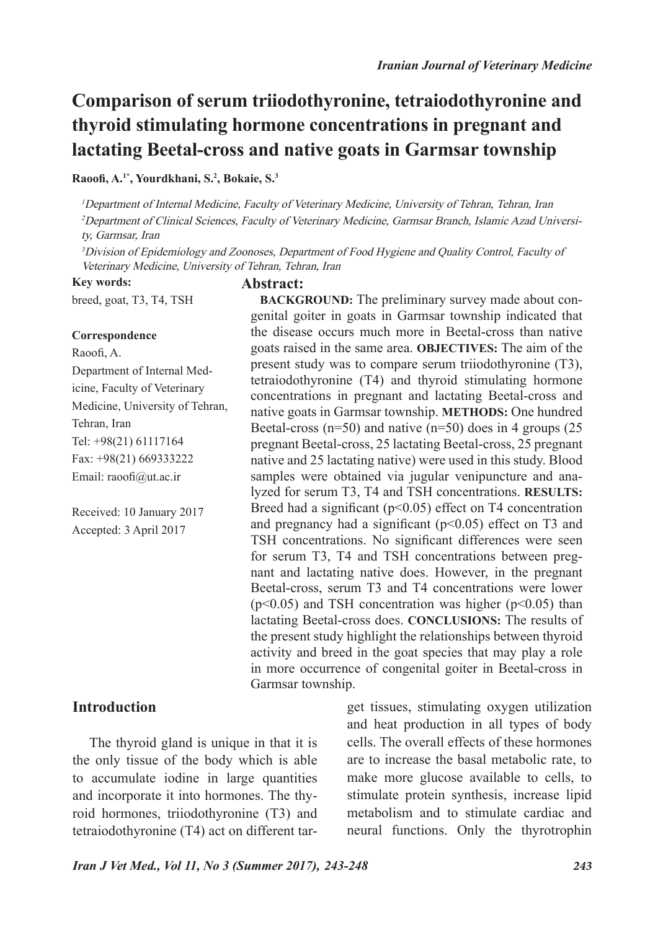# **Comparison of serum triiodothyronine, tetraiodothyronine and thyroid stimulating hormone concentrations in pregnant and lactating Beetal-cross and native goats in Garmsar township**

#### **Raoofi, A.1\*, Yourdkhani, S.2 , Bokaie, S.3**

<sup>1</sup>Department of Internal Medicine, Faculty of Veterinary Medicine, University of Tehran, Tehran, Iran <sup>2</sup>Department of Clinical Sciences, Faculty of Veterinary Medicine, Garmsar Branch, Islamic Azad University, Garmsar, Iran

<sup>3</sup>Division of Epidemiology and Zoonoses, Department of Food Hygiene and Quality Control, Faculty of Veterinary Medicine, University of Tehran, Tehran, Iran

**Key words:** breed, goat, T3, T4, TSH

## **Abstract:**

**Correspondence**

Raoofi, A. Department of Internal Medicine, Faculty of Veterinary Medicine, University of Tehran, Tehran, Iran Tel: +98(21) 61117164 Fax: +98(21) 669333222 Email: raoofi@ut.ac.ir

Received: 10 January 2017 Accepted: 3 April 2017

the disease occurs much more in Beetal-cross than native goats raised in the same area. **OBJECTIVES:** The aim of the present study was to compare serum triiodothyronine (T3), tetraiodothyronine (T4) and thyroid stimulating hormone concentrations in pregnant and lactating Beetal-cross and native goats in Garmsar township. **METHODS:** One hundred Beetal-cross ( $n=50$ ) and native ( $n=50$ ) does in 4 groups (25 pregnant Beetal-cross, 25 lactating Beetal-cross, 25 pregnant native and 25 lactating native) were used in this study. Blood samples were obtained via jugular venipuncture and analyzed for serum T3, T4 and TSH concentrations. **RESULTS:**  Breed had a significant  $(p<0.05)$  effect on T4 concentration and pregnancy had a significant  $(p<0.05)$  effect on T3 and TSH concentrations. No significant differences were seen for serum T3, T4 and TSH concentrations between pregnant and lactating native does. However, in the pregnant Beetal-cross, serum T3 and T4 concentrations were lower  $(p<0.05)$  and TSH concentration was higher  $(p<0.05)$  than lactating Beetal-cross does. **CONCLUSIONS:** The results of the present study highlight the relationships between thyroid activity and breed in the goat species that may play a role in more occurrence of congenital goiter in Beetal-cross in Garmsar township.

**BACKGROUND:** The preliminary survey made about congenital goiter in goats in Garmsar township indicated that

# **Introduction**

 The thyroid gland is unique in that it is the only tissue of the body which is able to accumulate iodine in large quantities and incorporate it into hormones. The thyroid hormones, triiodothyronine (T3) and tetraiodothyronine (T4) act on different target tissues, stimulating oxygen utilization and heat production in all types of body cells. The overall effects of these hormones are to increase the basal metabolic rate, to make more glucose available to cells, to stimulate protein synthesis, increase lipid metabolism and to stimulate cardiac and neural functions. Only the thyrotrophin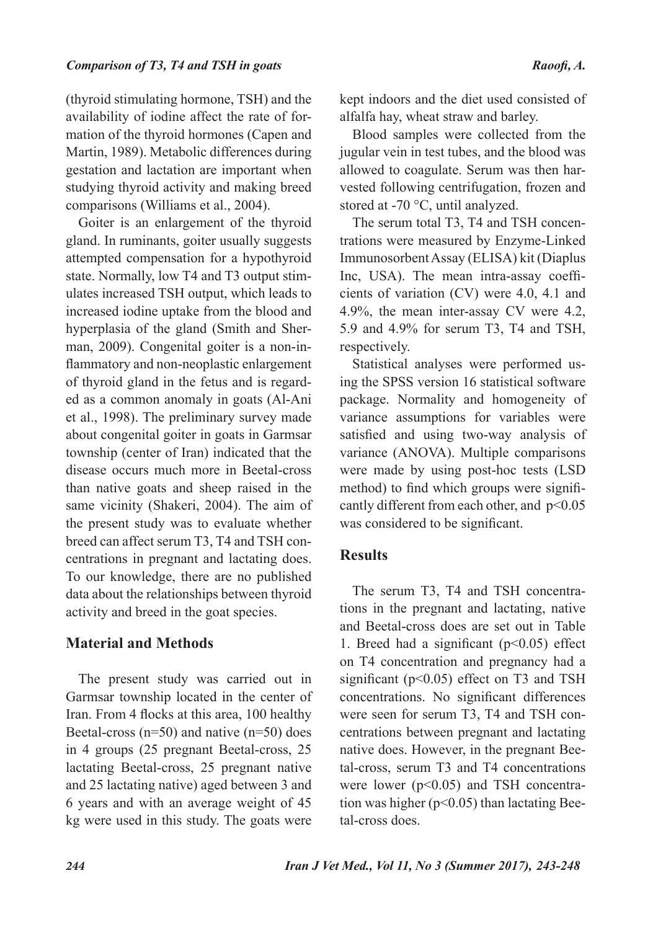(thyroid stimulating hormone, TSH) and the availability of iodine affect the rate of formation of the thyroid hormones (Capen and Martin, 1989). Metabolic differences during gestation and lactation are important when studying thyroid activity and making breed comparisons (Williams et al., 2004).

Goiter is an enlargement of the thyroid gland. In ruminants, goiter usually suggests attempted compensation for a hypothyroid state. Normally, low T4 and T3 output stimulates increased TSH output, which leads to increased iodine uptake from the blood and hyperplasia of the gland (Smith and Sherman, 2009). Congenital goiter is a non-inflammatory and non-neoplastic enlargement of thyroid gland in the fetus and is regarded as a common anomaly in goats (Al-Ani et al., 1998). The preliminary survey made about congenital goiter in goats in Garmsar township (center of Iran) indicated that the disease occurs much more in Beetal-cross than native goats and sheep raised in the same vicinity (Shakeri, 2004). The aim of the present study was to evaluate whether breed can affect serum T3, T4 and TSH concentrations in pregnant and lactating does. To our knowledge, there are no published data about the relationships between thyroid activity and breed in the goat species.

# **Material and Methods**

The present study was carried out in Garmsar township located in the center of Iran. From 4 flocks at this area, 100 healthy Beetal-cross (n=50) and native (n=50) does in 4 groups (25 pregnant Beetal-cross, 25 lactating Beetal-cross, 25 pregnant native and 25 lactating native) aged between 3 and 6 years and with an average weight of 45 kg were used in this study. The goats were

kept indoors and the diet used consisted of alfalfa hay, wheat straw and barley.

Blood samples were collected from the jugular vein in test tubes, and the blood was allowed to coagulate. Serum was then harvested following centrifugation, frozen and stored at -70 °C, until analyzed.

The serum total T3, T4 and TSH concentrations were measured by Enzyme-Linked Immunosorbent Assay (ELISA) kit (Diaplus Inc, USA). The mean intra-assay coefficients of variation (CV) were 4.0, 4.1 and 4.9%, the mean inter-assay CV were 4.2, 5.9 and 4.9% for serum T3, T4 and TSH, respectively.

Statistical analyses were performed using the SPSS version 16 statistical software package. Normality and homogeneity of variance assumptions for variables were satisfied and using two-way analysis of variance (ANOVA). Multiple comparisons were made by using post-hoc tests (LSD method) to find which groups were significantly different from each other, and  $p<0.05$ was considered to be significant.

## **Results**

The serum T3, T4 and TSH concentrations in the pregnant and lactating, native and Beetal-cross does are set out in Table 1. Breed had a significant  $(p<0.05)$  effect on T4 concentration and pregnancy had a significant ( $p<0.05$ ) effect on T3 and TSH concentrations. No significant differences were seen for serum T3, T4 and TSH concentrations between pregnant and lactating native does. However, in the pregnant Beetal-cross, serum T3 and T4 concentrations were lower (p<0.05) and TSH concentration was higher ( $p<0.05$ ) than lactating Beetal-cross does.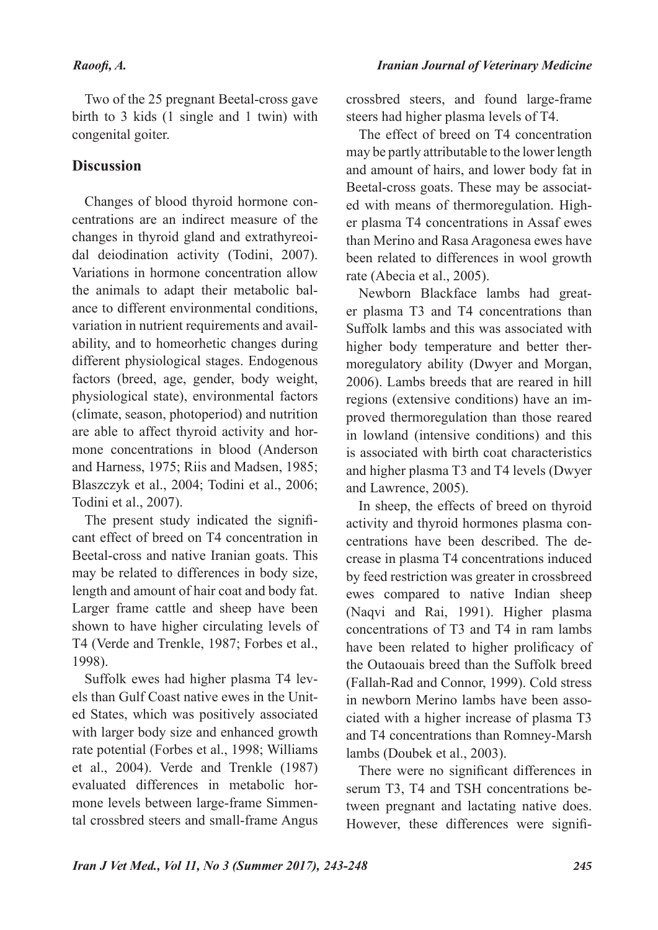#### *Raoofi, A.*

Two of the 25 pregnant Beetal-cross gave birth to 3 kids (1 single and 1 twin) with congenital goiter.

# **Discussion**

Changes of blood thyroid hormone concentrations are an indirect measure of the changes in thyroid gland and extrathyreoidal deiodination activity (Todini, 2007). Variations in hormone concentration allow the animals to adapt their metabolic balance to different environmental conditions, variation in nutrient requirements and availability, and to homeorhetic changes during different physiological stages. Endogenous factors (breed, age, gender, body weight, physiological state), environmental factors (climate, season, photoperiod) and nutrition are able to affect thyroid activity and hormone concentrations in blood (Anderson and Harness, 1975; Riis and Madsen, 1985; Blaszczyk et al., 2004; Todini et al., 2006; Todini et al., 2007).

The present study indicated the significant effect of breed on T4 concentration in Beetal-cross and native Iranian goats. This may be related to differences in body size, length and amount of hair coat and body fat. Larger frame cattle and sheep have been shown to have higher circulating levels of T4 (Verde and Trenkle, 1987; Forbes et al., 1998).

Suffolk ewes had higher plasma T4 levels than Gulf Coast native ewes in the United States, which was positively associated with larger body size and enhanced growth rate potential (Forbes et al., 1998; Williams et al., 2004). Verde and Trenkle (1987) evaluated differences in metabolic hormone levels between large-frame Simmental crossbred steers and small-frame Angus

crossbred steers, and found large-frame steers had higher plasma levels of T4.

The effect of breed on T4 concentration may be partly attributable to the lower length and amount of hairs, and lower body fat in Beetal-cross goats. These may be associated with means of thermoregulation. Higher plasma T4 concentrations in Assaf ewes than Merino and Rasa Aragonesa ewes have been related to differences in wool growth rate (Abecia et al., 2005).

Newborn Blackface lambs had greater plasma T3 and T4 concentrations than Suffolk lambs and this was associated with higher body temperature and better thermoregulatory ability (Dwyer and Morgan, 2006). Lambs breeds that are reared in hill regions (extensive conditions) have an improved thermoregulation than those reared in lowland (intensive conditions) and this is associated with birth coat characteristics and higher plasma T3 and T4 levels (Dwyer and Lawrence, 2005).

In sheep, the effects of breed on thyroid activity and thyroid hormones plasma concentrations have been described. The decrease in plasma T4 concentrations induced by feed restriction was greater in crossbreed ewes compared to native Indian sheep (Naqvi and Rai, 1991). Higher plasma concentrations of T3 and T4 in ram lambs have been related to higher prolificacy of the Outaouais breed than the Suffolk breed (Fallah-Rad and Connor, 1999). Cold stress in newborn Merino lambs have been associated with a higher increase of plasma T3 and T4 concentrations than Romney-Marsh lambs (Doubek et al., 2003).

There were no significant differences in serum T3, T4 and TSH concentrations between pregnant and lactating native does. However, these differences were signifi-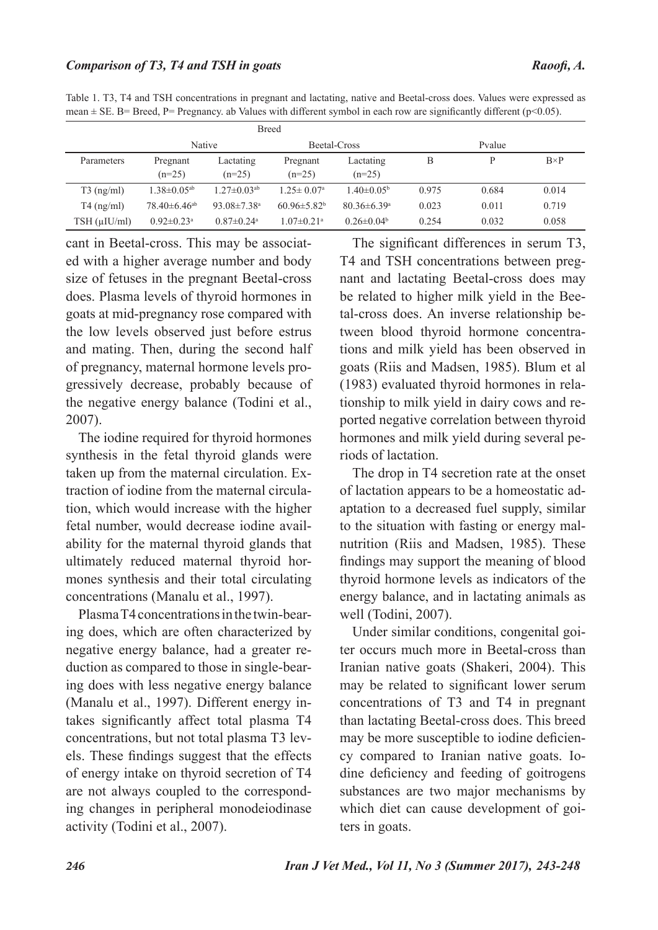| <b>Breed</b>                                                                                                             |  |
|--------------------------------------------------------------------------------------------------------------------------|--|
| mean $\pm$ SE. B= Breed, P= Pregnancy, ab Values with different symbol in each row are significantly different (p<0.05). |  |
| Table 1. T3, T4 and TSH concentrations in pregnant and lactating, native and Beetal-cross does. Values were expressed as |  |

| DICCU                |                               |                               |                              |                               |       |        |              |
|----------------------|-------------------------------|-------------------------------|------------------------------|-------------------------------|-------|--------|--------------|
|                      | <b>Native</b>                 |                               | Beetal-Cross                 |                               |       | Pvalue |              |
| Parameters           | Pregnant<br>$(n=25)$          | Lactating<br>$(n=25)$         | Pregnant<br>$(n=25)$         | Lactating<br>$(n=25)$         | В     | D      | $B \times P$ |
| $T3$ (ng/ml)         | $1.38 \pm 0.05$ <sup>ab</sup> | $1.27 \pm 0.03$ <sup>ab</sup> | $1.25 \pm 0.07$ <sup>a</sup> | $1.40 \pm 0.05^{\circ}$       | 0.975 | 0.684  | 0.014        |
| $T4$ (ng/ml)         | $78.40\pm 6.46$ <sup>ab</sup> | 93.08 $\pm$ 7.38 <sup>a</sup> | $60.96 \pm 5.82^b$           | $80.36 \pm 6.39$ <sup>a</sup> | 0.023 | 0.011  | 0.719        |
| $TSH$ ( $\mu$ IU/ml) | $0.92 \pm 0.23$ <sup>a</sup>  | $0.87 \pm 0.24$ <sup>a</sup>  | $1.07 \pm 0.21$ <sup>a</sup> | $0.26 \pm 0.04^b$             | 0.254 | 0.032  | 0.058        |

cant in Beetal-cross. This may be associated with a higher average number and body size of fetuses in the pregnant Beetal-cross does. Plasma levels of thyroid hormones in goats at mid-pregnancy rose compared with the low levels observed just before estrus and mating. Then, during the second half of pregnancy, maternal hormone levels progressively decrease, probably because of the negative energy balance (Todini et al., 2007).

The iodine required for thyroid hormones synthesis in the fetal thyroid glands were taken up from the maternal circulation. Extraction of iodine from the maternal circulation, which would increase with the higher fetal number, would decrease iodine availability for the maternal thyroid glands that ultimately reduced maternal thyroid hormones synthesis and their total circulating concentrations (Manalu et al., 1997).

Plasma T4 concentrations in the twin-bearing does, which are often characterized by negative energy balance, had a greater reduction as compared to those in single-bearing does with less negative energy balance (Manalu et al., 1997). Different energy intakes significantly affect total plasma T4 concentrations, but not total plasma T3 levels. These findings suggest that the effects of energy intake on thyroid secretion of T4 are not always coupled to the corresponding changes in peripheral monodeiodinase activity (Todini et al., 2007).

The significant differences in serum T3, T4 and TSH concentrations between pregnant and lactating Beetal-cross does may be related to higher milk yield in the Beetal-cross does. An inverse relationship between blood thyroid hormone concentrations and milk yield has been observed in goats (Riis and Madsen, 1985). Blum et al (1983) evaluated thyroid hormones in relationship to milk yield in dairy cows and reported negative correlation between thyroid hormones and milk yield during several periods of lactation.

The drop in T4 secretion rate at the onset of lactation appears to be a homeostatic adaptation to a decreased fuel supply, similar to the situation with fasting or energy malnutrition (Riis and Madsen, 1985). These findings may support the meaning of blood thyroid hormone levels as indicators of the energy balance, and in lactating animals as well (Todini, 2007).

Under similar conditions, congenital goiter occurs much more in Beetal-cross than Iranian native goats (Shakeri, 2004). This may be related to significant lower serum concentrations of T3 and T4 in pregnant than lactating Beetal-cross does. This breed may be more susceptible to iodine deficiency compared to Iranian native goats. Iodine deficiency and feeding of goitrogens substances are two major mechanisms by which diet can cause development of goiters in goats.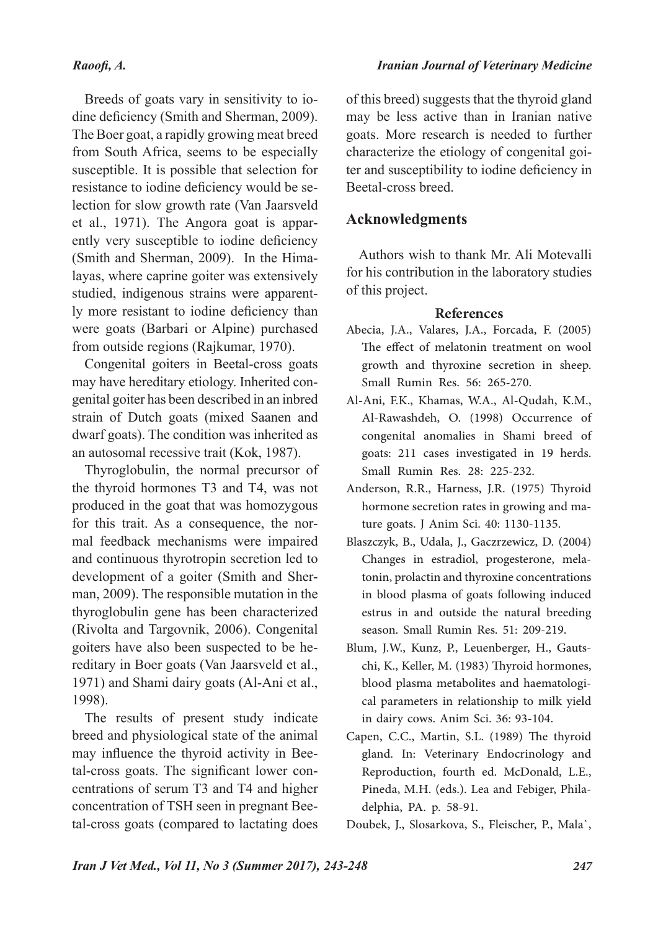## *Raoofi, A.*

Breeds of goats vary in sensitivity to iodine deficiency (Smith and Sherman, 2009). The Boer goat, a rapidly growing meat breed from South Africa, seems to be especially susceptible. It is possible that selection for resistance to iodine deficiency would be selection for slow growth rate (Van Jaarsveld et al., 1971). The Angora goat is apparently very susceptible to iodine deficiency (Smith and Sherman, 2009). In the Himalayas, where caprine goiter was extensively studied, indigenous strains were apparently more resistant to iodine deficiency than were goats (Barbari or Alpine) purchased from outside regions (Rajkumar, 1970).

Congenital goiters in Beetal-cross goats may have hereditary etiology. Inherited congenital goiter has been described in an inbred strain of Dutch goats (mixed Saanen and dwarf goats). The condition was inherited as an autosomal recessive trait (Kok, 1987).

Thyroglobulin, the normal precursor of the thyroid hormones T3 and T4, was not produced in the goat that was homozygous for this trait. As a consequence, the normal feedback mechanisms were impaired and continuous thyrotropin secretion led to development of a goiter (Smith and Sherman, 2009). The responsible mutation in the thyroglobulin gene has been characterized (Rivolta and Targovnik, 2006). Congenital goiters have also been suspected to be hereditary in Boer goats (Van Jaarsveld et al., 1971) and Shami dairy goats (Al-Ani et al., 1998).

The results of present study indicate breed and physiological state of the animal may influence the thyroid activity in Beetal-cross goats. The significant lower concentrations of serum T3 and T4 and higher concentration of TSH seen in pregnant Beetal-cross goats (compared to lactating does

#### *Iranian Journal of Veterinary Medicine*

of this breed) suggests that the thyroid gland may be less active than in Iranian native goats. More research is needed to further characterize the etiology of congenital goiter and susceptibility to iodine deficiency in Beetal-cross breed.

## **Acknowledgments**

Authors wish to thank Mr. Ali Motevalli for his contribution in the laboratory studies of this project.

#### **References**

- Abecia, J.A., Valares, J.A., Forcada, F. (2005) The effect of melatonin treatment on wool growth and thyroxine secretion in sheep. Small Rumin Res. 56: 265-270.
- Al-Ani, F.K., Khamas, W.A., Al-Qudah, K.M., Al-Rawashdeh, O. (1998) Occurrence of congenital anomalies in Shami breed of goats: 211 cases investigated in 19 herds. Small Rumin Res. 28: 225-232.
- Anderson, R.R., Harness, J.R. (1975) Thyroid hormone secretion rates in growing and mature goats. J Anim Sci. 40: 1130-1135.
- Blaszczyk, B., Udala, J., Gaczrzewicz, D. (2004) Changes in estradiol, progesterone, melatonin, prolactin and thyroxine concentrations in blood plasma of goats following induced estrus in and outside the natural breeding season. Small Rumin Res. 51: 209-219.
- Blum, J.W., Kunz, P., Leuenberger, H., Gautschi, K., Keller, M. (1983) Thyroid hormones, blood plasma metabolites and haematological parameters in relationship to milk yield in dairy cows. Anim Sci. 36: 93-104.
- Capen, C.C., Martin, S.L. (1989) The thyroid gland. In: Veterinary Endocrinology and Reproduction, fourth ed. McDonald, L.E., Pineda, M.H. (eds.). Lea and Febiger, Philadelphia, PA. p. 58-91.

Doubek, J., Slosarkova, S., Fleischer, P., Mala`,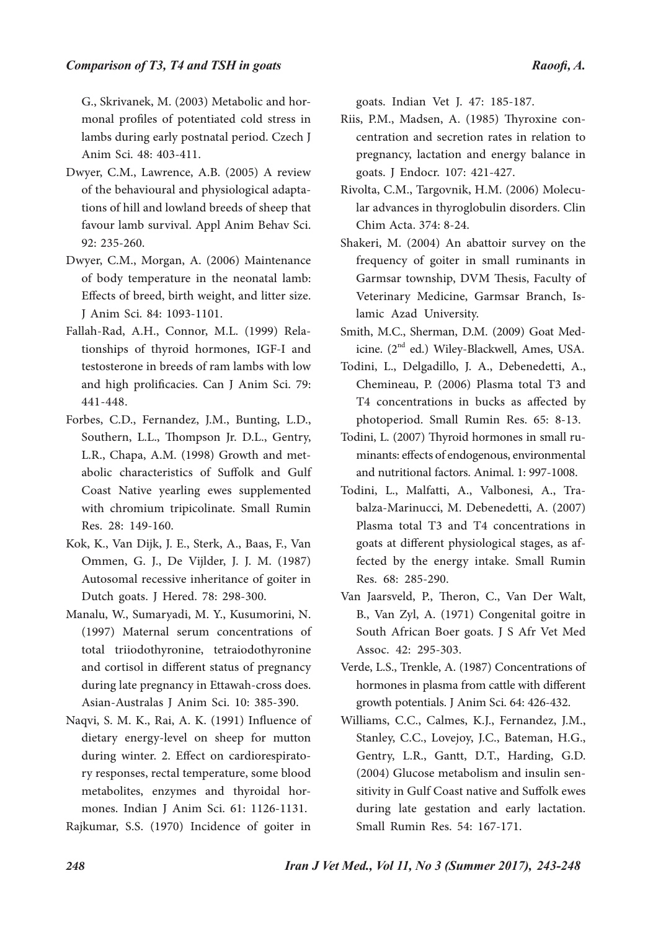G., Skrivanek, M. (2003) Metabolic and hormonal profiles of potentiated cold stress in lambs during early postnatal period. Czech J Anim Sci. 48: 403-411.

- Dwyer, C.M., Lawrence, A.B. (2005) A review of the behavioural and physiological adaptations of hill and lowland breeds of sheep that favour lamb survival. Appl Anim Behav Sci. 92: 235-260.
- Dwyer, C.M., Morgan, A. (2006) Maintenance of body temperature in the neonatal lamb: Effects of breed, birth weight, and litter size. J Anim Sci. 84: 1093-1101.
- Fallah-Rad, A.H., Connor, M.L. (1999) Relationships of thyroid hormones, IGF-I and testosterone in breeds of ram lambs with low and high prolificacies. Can J Anim Sci. 79: 441-448.
- Forbes, C.D., Fernandez, J.M., Bunting, L.D., Southern, L.L., Thompson Jr. D.L., Gentry, L.R., Chapa, A.M. (1998) Growth and metabolic characteristics of Suffolk and Gulf Coast Native yearling ewes supplemented with chromium tripicolinate. Small Rumin Res. 28: 149-160.
- Kok, K., Van Dijk, J. E., Sterk, A., Baas, F., Van Ommen, G. J., De Vijlder, J. J. M. (1987) Autosomal recessive inheritance of goiter in Dutch goats. J Hered. 78: 298-300.
- Manalu, W., Sumaryadi, M. Y., Kusumorini, N. (1997) Maternal serum concentrations of total triiodothyronine, tetraiodothyronine and cortisol in different status of pregnancy during late pregnancy in Ettawah-cross does. Asian-Australas J Anim Sci. 10: 385-390.
- Naqvi, S. M. K., Rai, A. K. (1991) Influence of dietary energy-level on sheep for mutton during winter. 2. Effect on cardiorespiratory responses, rectal temperature, some blood metabolites, enzymes and thyroidal hormones. Indian J Anim Sci. 61: 1126-1131.
- Rajkumar, S.S. (1970) Incidence of goiter in

goats. Indian Vet J. 47: 185-187.

- Riis, P.M., Madsen, A. (1985) Thyroxine concentration and secretion rates in relation to pregnancy, lactation and energy balance in goats. J Endocr. 107: 421-427.
- Rivolta, C.M., Targovnik, H.M. (2006) Molecular advances in thyroglobulin disorders. Clin Chim Acta. 374: 8-24.
- Shakeri, M. (2004) An abattoir survey on the frequency of goiter in small ruminants in Garmsar township, DVM Thesis, Faculty of Veterinary Medicine, Garmsar Branch, Islamic Azad University.
- Smith, M.C., Sherman, D.M. (2009) Goat Medicine. (2<sup>nd</sup> ed.) Wiley-Blackwell, Ames, USA.
- Todini, L., Delgadillo, J. A., Debenedetti, A., Chemineau, P. (2006) Plasma total T3 and T4 concentrations in bucks as affected by photoperiod. Small Rumin Res. 65: 8-13.
- Todini, L. (2007) Thyroid hormones in small ruminants: effects of endogenous, environmental and nutritional factors. Animal. 1: 997-1008.
- Todini, L., Malfatti, A., Valbonesi, A., Trabalza-Marinucci, M. Debenedetti, A. (2007) Plasma total T3 and T4 concentrations in goats at different physiological stages, as affected by the energy intake. Small Rumin Res. 68: 285-290.
- Van Jaarsveld, P., Theron, C., Van Der Walt, B., Van Zyl, A. (1971) Congenital goitre in South African Boer goats. J S Afr Vet Med Assoc. 42: 295-303.
- Verde, L.S., Trenkle, A. (1987) Concentrations of hormones in plasma from cattle with different growth potentials. J Anim Sci. 64: 426-432.
- Williams, C.C., Calmes, K.J., Fernandez, J.M., Stanley, C.C., Lovejoy, J.C., Bateman, H.G., Gentry, L.R., Gantt, D.T., Harding, G.D. (2004) Glucose metabolism and insulin sensitivity in Gulf Coast native and Suffolk ewes during late gestation and early lactation. Small Rumin Res. 54: 167-171.